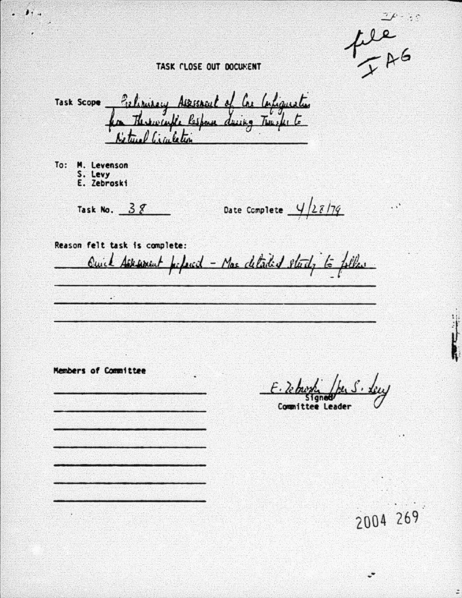$\gamma$  is  $\mathbb{C}$ 

fle<br>- AG

 $\ddots$ 

### TASK CLOSE OUT DOCUMENT

Task Scope filipikery Assistant of Cre Carliquester for These cuffe lespone during Trusks Ketwel Cigaletin

To: M. Levenson S. Levy E. Zebroski

Task No.  $38$ 

Date Complete  $\frac{4}{28179}$ 

Reason felt task is complete:

 $\cdot$ 

Members of Committee

Quick Asksment perfected - Mas detailed stady to follow

Committee Leader

2004 269

÷

÷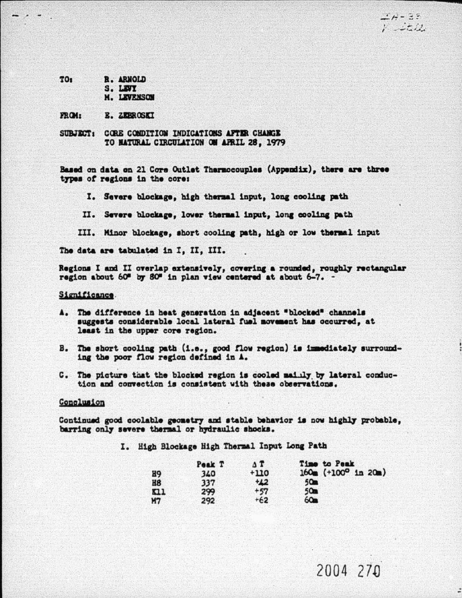$4.4 - 2.5$  $F = 2\pi D$ .

| TO <sub>s</sub> | <b>R. ARNOLD</b> |
|-----------------|------------------|
|                 | S. LEVI          |

M. LEVENSON

**FROM:** E. ZEBROSKI

SURJECT: CORE CONDITION INDICATIONS AFTER CHANGE TO NATURAL CIRCULATION ON AFRIL 28, 1979

Based on data on 21 Core Outlet Thermocouples (Appendix), there are three types of regions in the core:

I. Severe blockage, high thermal input, long cooling path

II. Severe blockage, lower thermal input, long cooling path

III. Minor blockage, short cooling path, high or low thermal input

The data are tabulated in I. II. III.

Regions I and II overlap extensively, covering a rounded, roughly rectangular region about 60" by 80" in plan view centered at about 6-7. -

#### Significance.

- A. The difference in heat generation in adjacent "blocked" channels suggests considerable local lateral fuel movement has occurred, at least in the upper core region.
- B. The short cooling path (i.e., good flow region) is immediately surrounding the poor flow region defined in A.
- C. The picture that the blocked region is cooled mailly by lateral conduction and convection is consistent with these observations.

#### Conclusion

Continued good coolable geometry and stable behavior is now highly probable. barring only severe thermal or hydraulic shocks.

I. High Blockage High Thermal Input Long Path

|                | Peak T | $\Lambda$ T | Time to Peak          |
|----------------|--------|-------------|-----------------------|
| H <sub>9</sub> | 340    | $+110$      | $160m$ (+100° in 20m) |
| H8             | 337    | $+22$       | 50 <sub>m</sub>       |
| n <sub>1</sub> | 299    | $+57$       | 50 <sub>m</sub>       |
| M7             | 292    | $+62$       | 60 <sub>m</sub>       |

2004 270